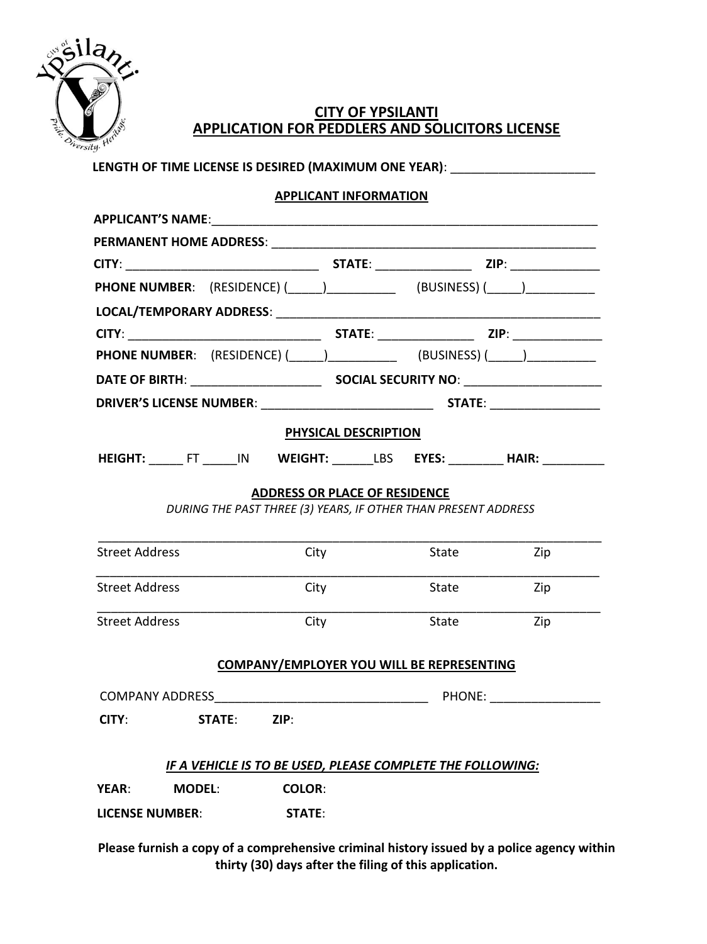

## **CITY OF YPSILANTI APPLICATION FOR PEDDLERS AND SOLICITORS LICENSE**

|                                                                                          |                                                                | <b>APPLICANT INFORMATION</b>         |       |                       |  |
|------------------------------------------------------------------------------------------|----------------------------------------------------------------|--------------------------------------|-------|-----------------------|--|
|                                                                                          |                                                                |                                      |       |                       |  |
|                                                                                          |                                                                |                                      |       |                       |  |
|                                                                                          |                                                                |                                      |       |                       |  |
| <b>PHONE NUMBER:</b> (RESIDENCE) (_____) _________________ (BUSINESS) (_____) __________ |                                                                |                                      |       |                       |  |
|                                                                                          |                                                                |                                      |       |                       |  |
|                                                                                          |                                                                |                                      |       |                       |  |
| <b>PHONE NUMBER:</b> (RESIDENCE) (_____) ________________ (BUSINESS) (_____) __________  |                                                                |                                      |       |                       |  |
|                                                                                          |                                                                |                                      |       |                       |  |
|                                                                                          |                                                                |                                      |       |                       |  |
|                                                                                          |                                                                | PHYSICAL DESCRIPTION                 |       |                       |  |
|                                                                                          |                                                                |                                      |       |                       |  |
| HEIGHT: _____FT _____IN WEIGHT: ______LBS EYES: ________HAIR: _________                  |                                                                |                                      |       |                       |  |
|                                                                                          |                                                                | <b>ADDRESS OR PLACE OF RESIDENCE</b> |       |                       |  |
|                                                                                          | DURING THE PAST THREE (3) YEARS, IF OTHER THAN PRESENT ADDRESS |                                      |       |                       |  |
|                                                                                          |                                                                |                                      |       |                       |  |
| <b>Street Address</b>                                                                    |                                                                | City                                 | State | Zip                   |  |
|                                                                                          |                                                                |                                      |       |                       |  |
| <b>Street Address</b>                                                                    |                                                                | City                                 | State | Zip                   |  |
| <b>Street Address</b>                                                                    |                                                                | City                                 | State | Zip                   |  |
|                                                                                          |                                                                |                                      |       |                       |  |
|                                                                                          | <b>COMPANY/EMPLOYER YOU WILL BE REPRESENTING</b>               |                                      |       |                       |  |
|                                                                                          |                                                                |                                      |       | PHONE: ______________ |  |
| CITY:                                                                                    | STATE: ZIP:                                                    |                                      |       |                       |  |
|                                                                                          |                                                                |                                      |       |                       |  |
|                                                                                          |                                                                |                                      |       |                       |  |
|                                                                                          |                                                                |                                      |       |                       |  |
|                                                                                          | IF A VEHICLE IS TO BE USED, PLEASE COMPLETE THE FOLLOWING:     |                                      |       |                       |  |
| YEAR: MODEL:<br><b>LICENSE NUMBER:</b>                                                   | <b>COLOR:</b><br>STATE:                                        |                                      |       |                       |  |

**Please furnish a copy of a comprehensive criminal history issued by a police agency within thirty (30) days after the filing of this application.**